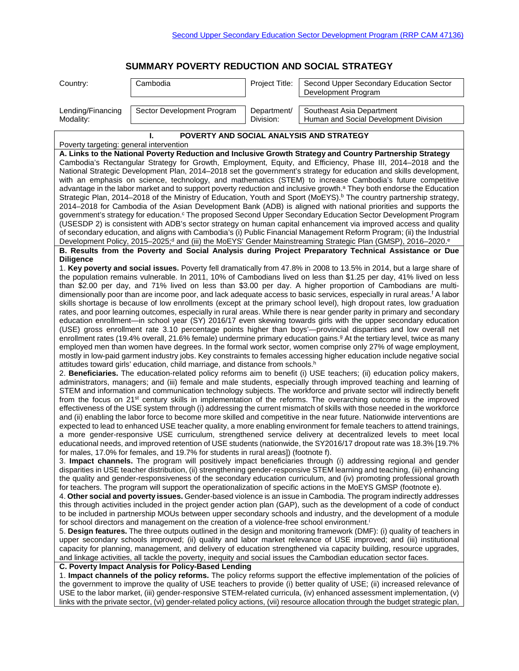# **SUMMARY POVERTY REDUCTION AND SOCIAL STRATEGY**

| Country:                       | Cambodia                   | Project Title:           | Second Upper Secondary Education Sector<br>Development Program     |
|--------------------------------|----------------------------|--------------------------|--------------------------------------------------------------------|
| Lending/Financing<br>Modality: | Sector Development Program | Department/<br>Division: | Southeast Asia Department<br>Human and Social Development Division |
|                                |                            |                          | POVERTY AND SOCIAL ANALYSIS AND STRATEGY                           |

Poverty targeting: general intervention **A. Links to the National Poverty Reduction and Inclusive Growth Strategy and Country Partnership Strategy**  Cambodia's Rectangular Strategy for Growth, Employment, Equity, and Efficiency, Phase III, 2014–2018 and the National Strategic Development Plan, 2014–2018 set the government's strategy for education and skills development, with an emphasis on science, technology, and mathematics (STEM) to increase Cambodia's future competitive advantage in the labor market and to support poverty reduction and inclusive growth.<sup>a</sup> They both endorse the Education Strategic Plan, 2014–2018 of the Ministry of Education, Youth and Sport (MoEYS).<sup>b</sup> The country partnership strategy, 2014–2018 for Cambodia of the Asian Development Bank (ADB) is aligned with national priorities and supports the government's strategy for education.<sup>c</sup> The proposed Second Upper Secondary Education Sector Development Program (USESDP 2) is consistent with ADB's sector strategy on human capital enhancement via improved access and quality of secondary education, and aligns with Cambodia's (i) Public Financial Management Reform Program; (ii) the Industrial Development Policy, 2015-2025;<sup>d</sup> and (iii) the MoEYS' Gender Mainstreaming Strategic Plan (GMSP), 2016-2020.<sup>e</sup> **B. Results from the Poverty and Social Analysis during Project Preparatory Technical Assistance or Due Diligence** 1. **Key poverty and social issues.** Poverty fell dramatically from 47.8% in 2008 to 13.5% in 2014, but a large share of the population remains vulnerable. In 2011, 10% of Cambodians lived on less than \$1.25 per day, 41% lived on less than \$2.00 per day, and 71% lived on less than \$3.00 per day. A higher proportion of Cambodians are multidimensionally poor than are income poor, and lack adequate access to basic services, especially in rural areas.<sup>f</sup> A labor skills shortage is because of low enrollments (except at the primary school level), high dropout rates, low graduation rates, and poor learning outcomes, especially in rural areas. While there is near gender parity in primary and secondary education enrollment—in school year (SY) 2016/17 even skewing towards girls with the upper secondary education (USE) gross enrollment rate 3.10 percentage points higher than boys'—provincial disparities and low overall net enrollment rates (19.4% overall, 21.6% female) undermine primary education gains.<sup>g</sup> At the tertiary level, twice as many employed men than women have degrees. In the formal work sector, women comprise only 27% of wage employment, mostly in low-paid garment industry jobs. Key constraints to females accessing higher education include negative social attitudes toward girls' education, child marriage, and distance from schools.<sup>h</sup> 2. **Beneficiaries.** The education-related policy reforms aim to benefit (i) USE teachers; (ii) education policy makers, administrators, managers; and (iii) female and male students, especially through improved teaching and learning of STEM and information and communication technology subjects. The workforce and private sector will indirectly benefit from the focus on 21st century skills in implementation of the reforms. The overarching outcome is the improved effectiveness of the USE system through (i) addressing the current mismatch of skills with those needed in the workforce and (ii) enabling the labor force to become more skilled and competitive in the near future. Nationwide interventions are expected to lead to enhanced USE teacher quality, a more enabling environment for female teachers to attend trainings, a more gender-responsive USE curriculum, strengthened service delivery at decentralized levels to meet local educational needs, and improved retention of USE students (nationwide, the SY2016/17 dropout rate was 18.3% [19.7% for males, 17.0% for females, and 19.7% for students in rural areas]) (footnote f). 3. **Impact channels.** The program will positively impact beneficiaries through (i) addressing regional and gender disparities in USE teacher distribution, (ii) strengthening gender-responsive STEM learning and teaching, (iii) enhancing the quality and gender-responsiveness of the secondary education curriculum, and (iv) promoting professional growth for teachers. The program will support the operationalization of specific actions in the MoEYS GMSP (footnote e). 4. **Other social and poverty issues.** Gender-based violence is an issue in Cambodia. The program indirectly addresses this through activities included in the project gender action plan (GAP), such as the development of a code of conduct to be included in partnership MOUs between upper secondary schools and industry, and the development of a module for school directors and management on the creation of a violence-free school environment.<sup>i</sup> 5. **Design features.** The three outputs outlined in the design and monitoring framework (DMF): (i) quality of teachers in upper secondary schools improved; (ii) quality and labor market relevance of USE improved; and (iii) institutional capacity for planning, management, and delivery of education strengthened via capacity building, resource upgrades, and linkage activities, all tackle the poverty, inequity and social issues the Cambodian education sector faces. **C. Poverty Impact Analysis for Policy-Based Lending** 1. **Impact channels of the policy reforms.** The policy reforms support the effective implementation of the policies of the government to improve the quality of USE teachers to provide (i) better quality of USE; (ii) increased relevance of USE to the labor market, (iii) gender-responsive STEM-related curricula, (iv) enhanced assessment implementation, (v) links with the private sector, (vi) gender-related policy actions, (vii) resource allocation through the budget strategic plan,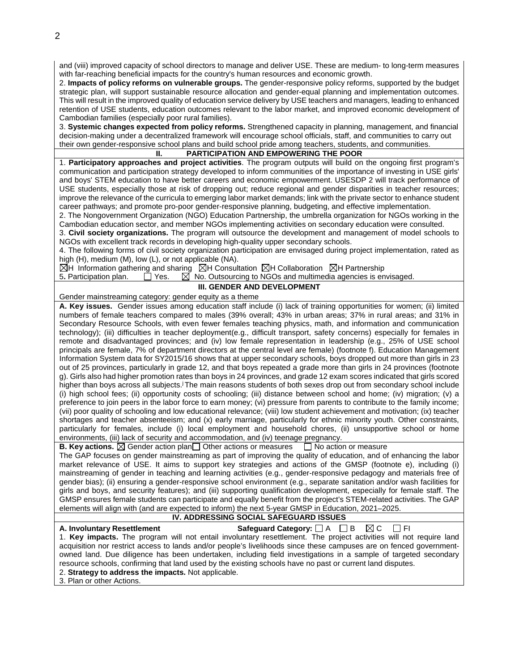and (viii) improved capacity of school directors to manage and deliver USE. These are medium- to long-term measures with far-reaching beneficial impacts for the country's human resources and economic growth.

2. **Impacts of policy reforms on vulnerable groups.** The gender-responsive policy reforms, supported by the budget strategic plan, will support sustainable resource allocation and gender-equal planning and implementation outcomes. This will result in the improved quality of education service delivery by USE teachers and managers, leading to enhanced retention of USE students, education outcomes relevant to the labor market, and improved economic development of Cambodian families (especially poor rural families).

3. **Systemic changes expected from policy reforms.** Strengthened capacity in planning, management, and financial decision-making under a decentralized framework will encourage school officials, staff, and communities to carry out their own gender-responsive school plans and build school pride among teachers, students, and communities.

## **II. PARTICIPATION AND EMPOWERING THE POOR**

1. **Participatory approaches and project activities**. The program outputs will build on the ongoing first program's communication and participation strategy developed to inform communities of the importance of investing in USE girls' and boys' STEM education to have better careers and economic empowerment. USESDP 2 will track performance of USE students, especially those at risk of dropping out; reduce regional and gender disparities in teacher resources; improve the relevance of the curricula to emerging labor market demands; link with the private sector to enhance student career pathways; and promote pro-poor gender-responsive planning, budgeting, and effective implementation.

2. The Nongovernment Organization (NGO) Education Partnership, the umbrella organization for NGOs working in the Cambodian education sector, and member NGOs implementing activities on secondary education were consulted.

3. **Civil society organizations.** The program will outsource the development and management of model schools to NGOs with excellent track records in developing high-quality upper secondary schools.

4. The following forms of civil society organization participation are envisaged during project implementation, rated as high (H), medium (M), low (L), or not applicable (NA).

 $\boxtimes$ H Information gathering and sharing  $\boxtimes$ H Consultation  $\boxtimes$ H Collaboration  $\boxtimes$ H Partnership

5. Participation plan.  $\Box$  Yes.  $\Box$  No. Outsourcing to NGOs and multimedia agencies is envisaged.

### **III. GENDER AND DEVELOPMENT**

Gender mainstreaming category: gender equity as a theme

**A. Key issues.** Gender issues among education staff include (i) lack of training opportunities for women; (ii) limited numbers of female teachers compared to males (39% overall; 43% in urban areas; 37% in rural areas; and 31% in Secondary Resource Schools, with even fewer females teaching physics, math, and information and communication technology); (iii) difficulties in teacher deployment(e.g., difficult transport, safety concerns) especially for females in remote and disadvantaged provinces; and (iv) low female representation in leadership (e.g., 25% of USE school principals are female, 7% of department directors at the central level are female) (footnote f). Education Management Information System data for SY2015/16 shows that at upper secondary schools, boys dropped out more than girls in 23 out of 25 provinces, particularly in grade 12, and that boys repeated a grade more than girls in 24 provinces (footnote g). Girls also had higher promotion rates than boys in 24 provinces, and grade 12 exam scores indicated that girls scored higher than boys across all subjects.<sup>j</sup> The main reasons students of both sexes drop out from secondary school include (i) high school fees; (ii) opportunity costs of schooling; (iii) distance between school and home; (iv) migration; (v) a preference to join peers in the labor force to earn money; (vi) pressure from parents to contribute to the family income; (vii) poor quality of schooling and low educational relevance; (viii) low student achievement and motivation; (ix) teacher shortages and teacher absenteeism; and (x) early marriage, particularly for ethnic minority youth. Other constraints, particularly for females, include (i) local employment and household chores, (ii) unsupportive school or home environments, (iii) lack of security and accommodation, and (iv) teenage pregnancy.

**B. Key actions.**  $\boxtimes$  Gender action plan  $\Box$  Other actions or measures  $\Box$  No action or measure

The GAP focuses on gender mainstreaming as part of improving the quality of education, and of enhancing the labor market relevance of USE. It aims to support key strategies and actions of the GMSP (footnote e), including (i) mainstreaming of gender in teaching and learning activities (e.g., gender-responsive pedagogy and materials free of gender bias); (ii) ensuring a gender-responsive school environment (e.g., separate sanitation and/or wash facilities for girls and boys, and security features); and (iii) supporting qualification development, especially for female staff. The GMSP ensures female students can participate and equally benefit from the project's STEM-related activities. The GAP elements will align with (and are expected to inform) the next 5-year GMSP in Education, 2021–2025.

# **IV. ADDRESSING SOCIAL SAFEGUARD ISSUES**

**A. Involuntary Resettlement Safequard Category:**  $\Box$  A  $\Box$  B  $\Box$  C  $\Box$  FI 1. **Key impacts.** The program will not entail involuntary resettlement. The project activities will not require land acquisition nor restrict access to lands and/or people's livelihoods since these campuses are on fenced governmentowned land. Due diligence has been undertaken, including field investigations in a sample of targeted secondary resource schools, confirming that land used by the existing schools have no past or current land disputes. 2. **Strategy to address the impacts.** Not applicable.

3. Plan or other Actions.